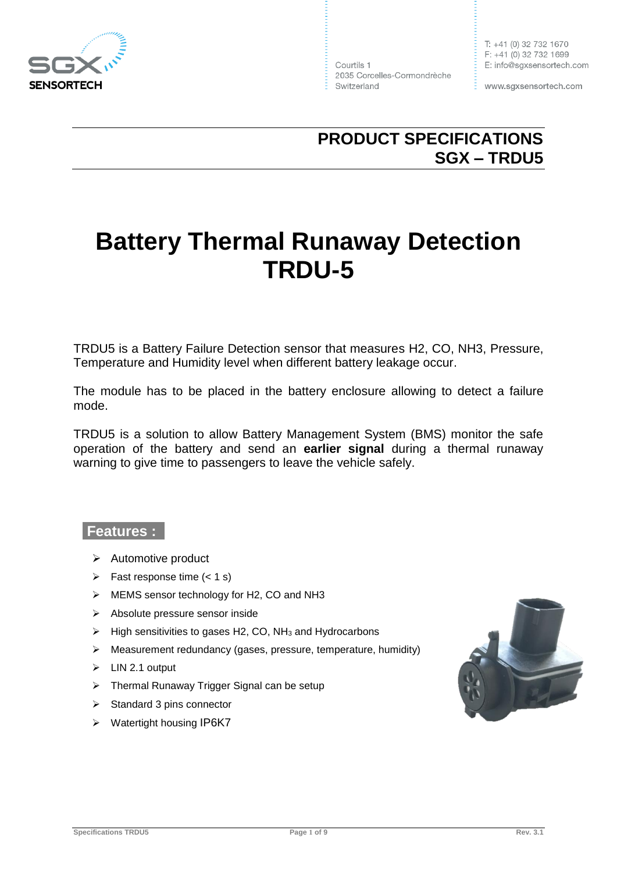

Courtils 1 2035 Corcelles-Cormondrèche Switzerland

www.sgxsensortech.com

# **PRODUCT SPECIFICATIONS SGX – TRDU5**

# **Battery Thermal Runaway Detection TRDU-5**

TRDU5 is a Battery Failure Detection sensor that measures H2, CO, NH3, Pressure, Temperature and Humidity level when different battery leakage occur.

The module has to be placed in the battery enclosure allowing to detect a failure mode.

TRDU5 is a solution to allow Battery Management System (BMS) monitor the safe operation of the battery and send an **earlier signal** during a thermal runaway warning to give time to passengers to leave the vehicle safely.

#### **Features :**

- $\triangleright$  Automotive product
- $\triangleright$  Fast response time (< 1 s)
- ▶ MEMS sensor technology for H2, CO and NH3
- > Absolute pressure sensor inside
- $\triangleright$  High sensitivities to gases H2, CO, NH<sub>3</sub> and Hydrocarbons
- $\triangleright$  Measurement redundancy (gases, pressure, temperature, humidity)
- $\triangleright$  LIN 2.1 output
- > Thermal Runaway Trigger Signal can be setup
- $\triangleright$  Standard 3 pins connector
- ▶ Watertight housing IP6K7

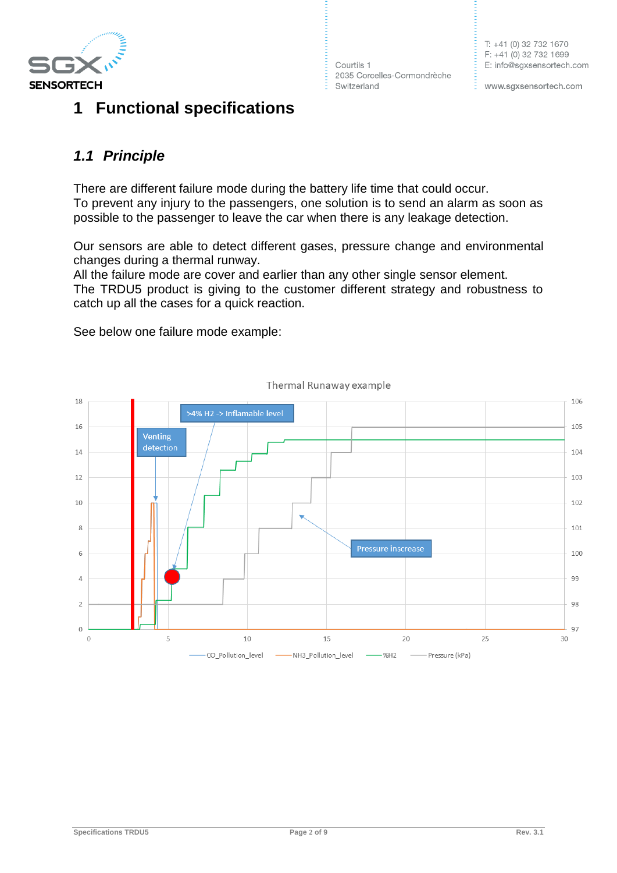

# **1 Functional specifications**

Courtils 1 2035 Corcelles-Cormondrèche Switzerland

www.sgxsensortech.com

### *1.1 Principle*

There are different failure mode during the battery life time that could occur. To prevent any injury to the passengers, one solution is to send an alarm as soon as possible to the passenger to leave the car when there is any leakage detection.

Our sensors are able to detect different gases, pressure change and environmental changes during a thermal runway.

All the failure mode are cover and earlier than any other single sensor element. The TRDU5 product is giving to the customer different strategy and robustness to catch up all the cases for a quick reaction.

See below one failure mode example:



Thermal Runaway example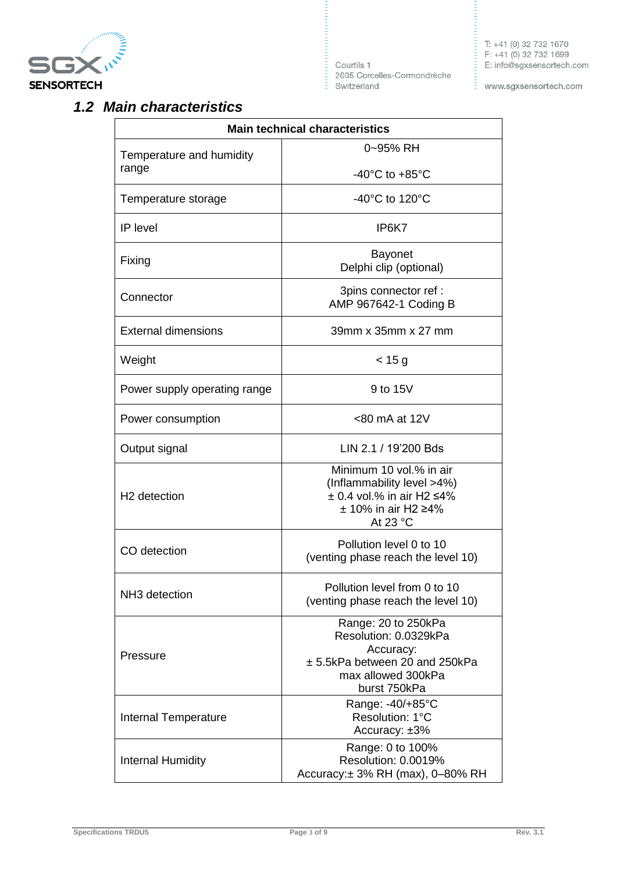

E<br>Courtils 1<br>2035 Corcell<br>E Switzerland 2035 Corcelles-Cormondrèche T: +41 (0) 32 732 1670  $F: +41(0)327321699$ E: info@sgxsensortech.com

www.sgxsensortech.com

E.

### *1.2 Main characteristics*

| <b>Main technical characteristics</b> |                                                                                                                                    |  |  |  |  |
|---------------------------------------|------------------------------------------------------------------------------------------------------------------------------------|--|--|--|--|
| Temperature and humidity<br>range     | 0~95% RH                                                                                                                           |  |  |  |  |
|                                       | -40 $^{\circ}$ C to +85 $^{\circ}$ C                                                                                               |  |  |  |  |
| Temperature storage                   | -40 $^{\circ}$ C to 120 $^{\circ}$ C                                                                                               |  |  |  |  |
| IP level                              | IP6K7                                                                                                                              |  |  |  |  |
| Fixing                                | <b>Bayonet</b><br>Delphi clip (optional)                                                                                           |  |  |  |  |
| Connector                             | 3pins connector ref :<br>AMP 967642-1 Coding B                                                                                     |  |  |  |  |
| <b>External dimensions</b>            | 39mm x 35mm x 27 mm                                                                                                                |  |  |  |  |
| Weight                                | $<$ 15 g                                                                                                                           |  |  |  |  |
| Power supply operating range          | 9 to 15V                                                                                                                           |  |  |  |  |
| Power consumption                     | <80 mA at 12V                                                                                                                      |  |  |  |  |
| Output signal                         | LIN 2.1 / 19'200 Bds                                                                                                               |  |  |  |  |
| H <sub>2</sub> detection              | Minimum 10 vol.% in air<br>(Inflammability level >4%)<br>$\pm$ 0.4 vol.% in air H2 $\leq$ 4%<br>$± 10\%$ in air H2 ≥4%<br>At 23 °C |  |  |  |  |
| CO detection                          | Pollution level 0 to 10<br>(venting phase reach the level 10)                                                                      |  |  |  |  |
| NH3 detection                         | Pollution level from 0 to 10<br>(venting phase reach the level 10)                                                                 |  |  |  |  |
| Pressure                              | Range: 20 to 250kPa<br>Resolution: 0.0329kPa<br>Accuracy:<br>± 5.5kPa between 20 and 250kPa<br>max allowed 300kPa<br>burst 750kPa  |  |  |  |  |
| <b>Internal Temperature</b>           | Range: -40/+85°C<br>Resolution: 1°C<br>Accuracy: ±3%                                                                               |  |  |  |  |
| <b>Internal Humidity</b>              | Range: 0 to 100%<br>Resolution: 0.0019%<br>Accuracy: $\pm$ 3% RH (max), 0-80% RH                                                   |  |  |  |  |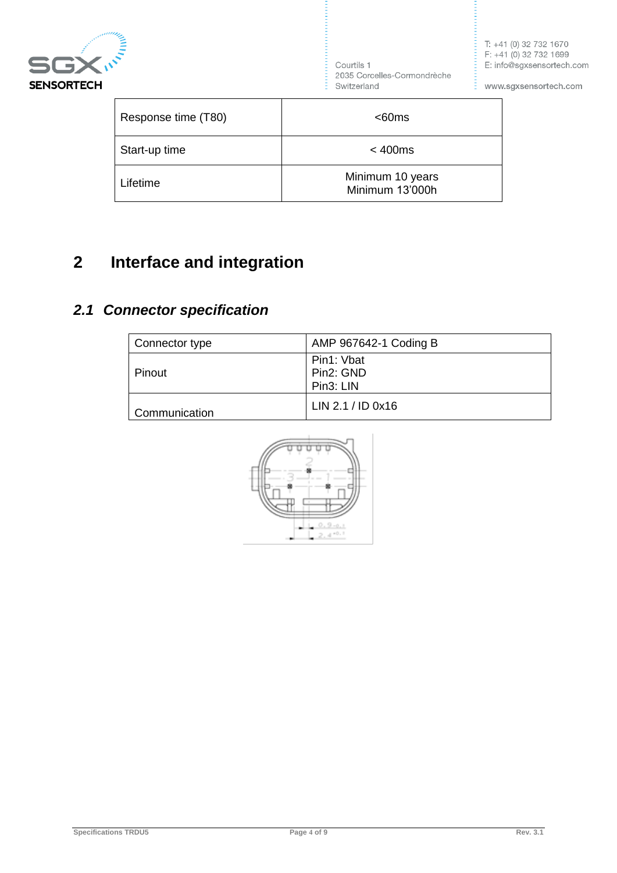

,,,,,,,,,,,, Courtils 1 2035 Corcelles-Cormondrèche Switzerland

T: +41 (0) 32 732 1670  $F: +41(0)327321699$ E: info@sgxsensortech.com

www.sgxsensortech.com

E.

| Response time (T80) | $<$ 60ms                            |  |  |  |
|---------------------|-------------------------------------|--|--|--|
| Start-up time       | < 400ms                             |  |  |  |
| Lifetime            | Minimum 10 years<br>Minimum 13'000h |  |  |  |

# **2 Interface and integration**

## *2.1 Connector specification*

| Connector type | AMP 967642-1 Coding B                |
|----------------|--------------------------------------|
| Pinout         | Pin1: Vbat<br>Pin2: GND<br>Pin3: LIN |
| Communication  | LIN 2.1 / ID 0x16                    |

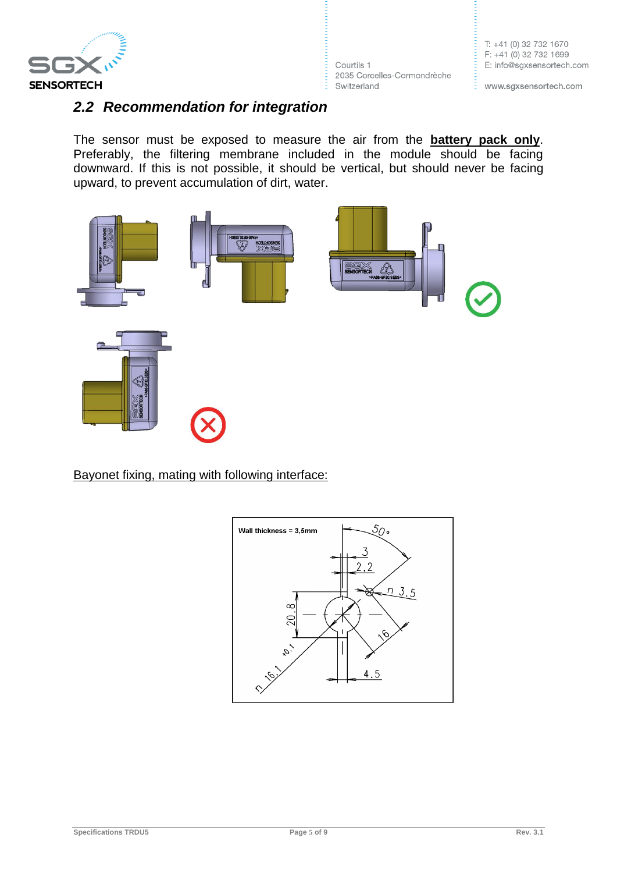

Courtils 1 2035 Corcelles-Cormondrèche Switzerland

T: +41 (0) 32 732 1670  $F: +41(0)327321699$ E: info@sgxsensortech.com

www.sgxsensortech.com

E,

### *2.2 Recommendation for integration*

The sensor must be exposed to measure the air from the **battery pack only**. Preferably, the filtering membrane included in the module should be facing downward. If this is not possible, it should be vertical, but should never be facing upward, to prevent accumulation of dirt, water.



Bayonet fixing, mating with following interface:

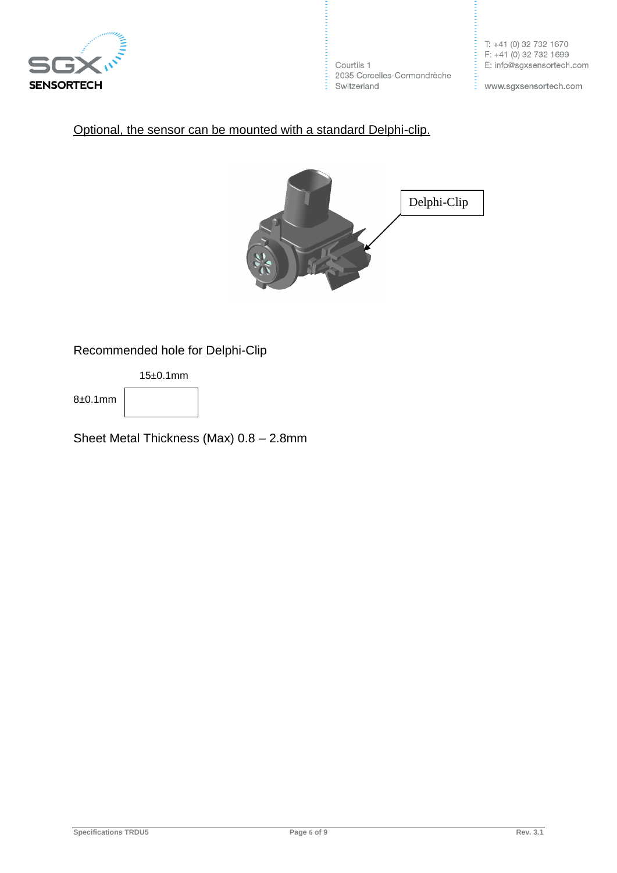

Courtils 1 2035 Corcelles-Cormondrèche  $\frac{1}{2}$  Switzerland

www.sgxsensortech.com

E.

#### Optional, the sensor can be mounted with a standard Delphi-clip.



Recommended hole for Delphi-Clip

15±0.1mm

8±0.1mm

Sheet Metal Thickness (Max) 0.8 – 2.8mm